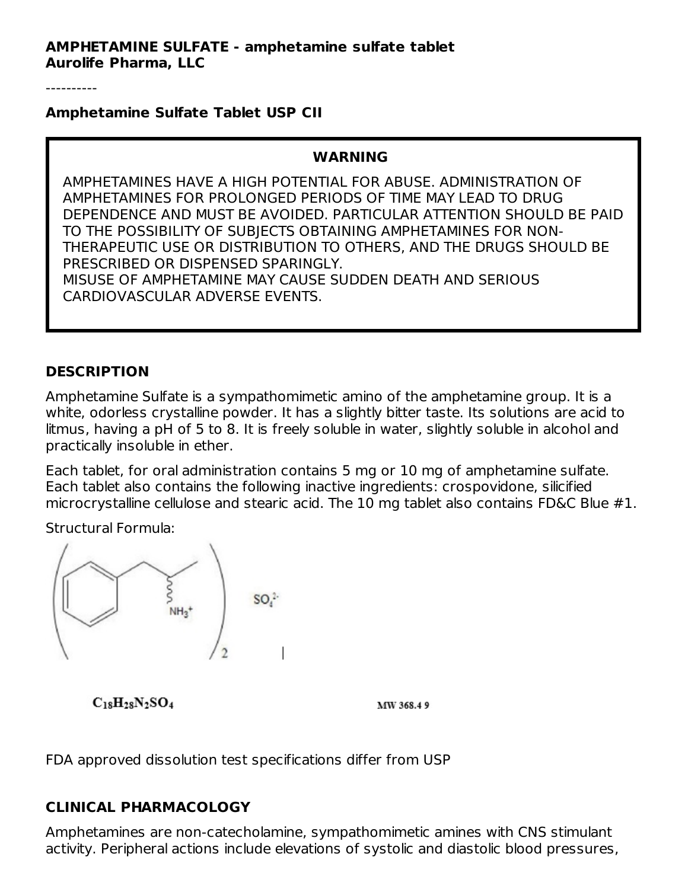----------

#### **Amphetamine Sulfate Tablet USP CII**

#### **WARNING**

AMPHETAMINES HAVE A HIGH POTENTIAL FOR ABUSE. ADMINISTRATION OF AMPHETAMINES FOR PROLONGED PERIODS OF TIME MAY LEAD TO DRUG DEPENDENCE AND MUST BE AVOIDED. PARTICULAR ATTENTION SHOULD BE PAID TO THE POSSIBILITY OF SUBJECTS OBTAINING AMPHETAMINES FOR NON-THERAPEUTIC USE OR DISTRIBUTION TO OTHERS, AND THE DRUGS SHOULD BE PRESCRIBED OR DISPENSED SPARINGLY. MISUSE OF AMPHETAMINE MAY CAUSE SUDDEN DEATH AND SERIOUS CARDIOVASCULAR ADVERSE EVENTS.

## **DESCRIPTION**

Amphetamine Sulfate is a sympathomimetic amino of the amphetamine group. It is a white, odorless crystalline powder. It has a slightly bitter taste. Its solutions are acid to litmus, having a pH of 5 to 8. It is freely soluble in water, slightly soluble in alcohol and practically insoluble in ether.

Each tablet, for oral administration contains 5 mg or 10 mg of amphetamine sulfate. Each tablet also contains the following inactive ingredients: crospovidone, silicified microcrystalline cellulose and stearic acid. The 10 mg tablet also contains FD&C Blue #1.

Structural Formula:



 $C_{18}H_{28}N_2SO_4$ 

MW 368.49

FDA approved dissolution test specifications differ from USP

# **CLINICAL PHARMACOLOGY**

Amphetamines are non-catecholamine, sympathomimetic amines with CNS stimulant activity. Peripheral actions include elevations of systolic and diastolic blood pressures,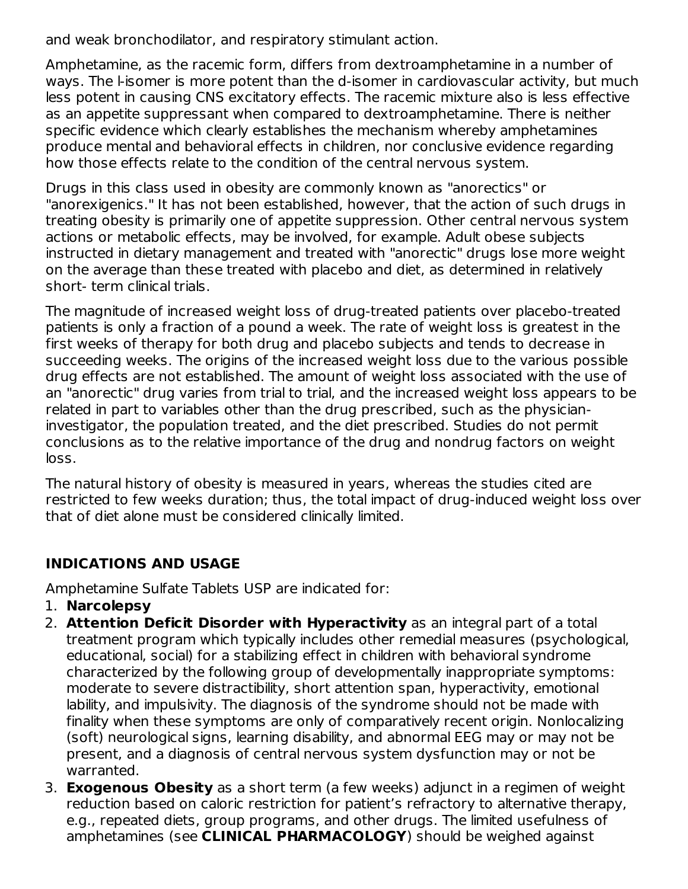and weak bronchodilator, and respiratory stimulant action.

Amphetamine, as the racemic form, differs from dextroamphetamine in a number of ways. The l-isomer is more potent than the d-isomer in cardiovascular activity, but much less potent in causing CNS excitatory effects. The racemic mixture also is less effective as an appetite suppressant when compared to dextroamphetamine. There is neither specific evidence which clearly establishes the mechanism whereby amphetamines produce mental and behavioral effects in children, nor conclusive evidence regarding how those effects relate to the condition of the central nervous system.

Drugs in this class used in obesity are commonly known as "anorectics" or "anorexigenics." It has not been established, however, that the action of such drugs in treating obesity is primarily one of appetite suppression. Other central nervous system actions or metabolic effects, may be involved, for example. Adult obese subjects instructed in dietary management and treated with "anorectic" drugs lose more weight on the average than these treated with placebo and diet, as determined in relatively short- term clinical trials.

The magnitude of increased weight loss of drug-treated patients over placebo-treated patients is only a fraction of a pound a week. The rate of weight loss is greatest in the first weeks of therapy for both drug and placebo subjects and tends to decrease in succeeding weeks. The origins of the increased weight loss due to the various possible drug effects are not established. The amount of weight loss associated with the use of an "anorectic" drug varies from trial to trial, and the increased weight loss appears to be related in part to variables other than the drug prescribed, such as the physicianinvestigator, the population treated, and the diet prescribed. Studies do not permit conclusions as to the relative importance of the drug and nondrug factors on weight loss.

The natural history of obesity is measured in years, whereas the studies cited are restricted to few weeks duration; thus, the total impact of drug-induced weight loss over that of diet alone must be considered clinically limited.

# **INDICATIONS AND USAGE**

Amphetamine Sulfate Tablets USP are indicated for:

- 1. **Narcolepsy**
- 2. **Attention Deficit Disorder with Hyperactivity** as an integral part of a total treatment program which typically includes other remedial measures (psychological, educational, social) for a stabilizing effect in children with behavioral syndrome characterized by the following group of developmentally inappropriate symptoms: moderate to severe distractibility, short attention span, hyperactivity, emotional lability, and impulsivity. The diagnosis of the syndrome should not be made with finality when these symptoms are only of comparatively recent origin. Nonlocalizing (soft) neurological signs, learning disability, and abnormal EEG may or may not be present, and a diagnosis of central nervous system dysfunction may or not be warranted.
- 3. **Exogenous Obesity** as a short term (a few weeks) adjunct in a regimen of weight reduction based on caloric restriction for patient's refractory to alternative therapy, e.g., repeated diets, group programs, and other drugs. The limited usefulness of amphetamines (see **CLINICAL PHARMACOLOGY**) should be weighed against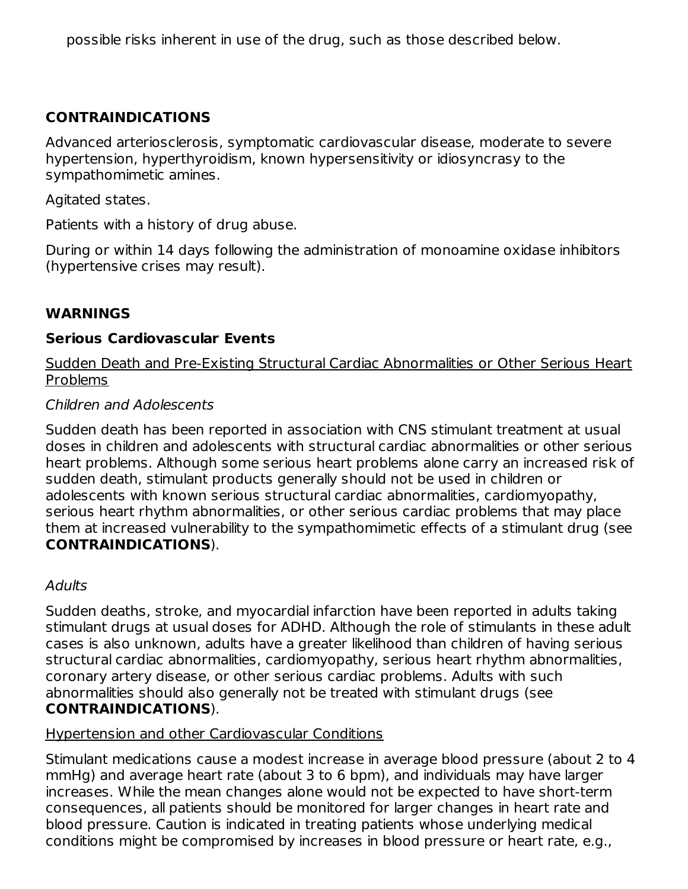possible risks inherent in use of the drug, such as those described below.

# **CONTRAINDICATIONS**

Advanced arteriosclerosis, symptomatic cardiovascular disease, moderate to severe hypertension, hyperthyroidism, known hypersensitivity or idiosyncrasy to the sympathomimetic amines.

Agitated states.

Patients with a history of drug abuse.

During or within 14 days following the administration of monoamine oxidase inhibitors (hypertensive crises may result).

## **WARNINGS**

#### **Serious Cardiovascular Events**

Sudden Death and Pre-Existing Structural Cardiac Abnormalities or Other Serious Heart Problems

#### Children and Adolescents

Sudden death has been reported in association with CNS stimulant treatment at usual doses in children and adolescents with structural cardiac abnormalities or other serious heart problems. Although some serious heart problems alone carry an increased risk of sudden death, stimulant products generally should not be used in children or adolescents with known serious structural cardiac abnormalities, cardiomyopathy, serious heart rhythm abnormalities, or other serious cardiac problems that may place them at increased vulnerability to the sympathomimetic effects of a stimulant drug (see **CONTRAINDICATIONS**).

#### **Adults**

Sudden deaths, stroke, and myocardial infarction have been reported in adults taking stimulant drugs at usual doses for ADHD. Although the role of stimulants in these adult cases is also unknown, adults have a greater likelihood than children of having serious structural cardiac abnormalities, cardiomyopathy, serious heart rhythm abnormalities, coronary artery disease, or other serious cardiac problems. Adults with such abnormalities should also generally not be treated with stimulant drugs (see **CONTRAINDICATIONS**).

#### Hypertension and other Cardiovascular Conditions

Stimulant medications cause a modest increase in average blood pressure (about 2 to 4 mmHg) and average heart rate (about 3 to 6 bpm), and individuals may have larger increases. While the mean changes alone would not be expected to have short-term consequences, all patients should be monitored for larger changes in heart rate and blood pressure. Caution is indicated in treating patients whose underlying medical conditions might be compromised by increases in blood pressure or heart rate, e.g.,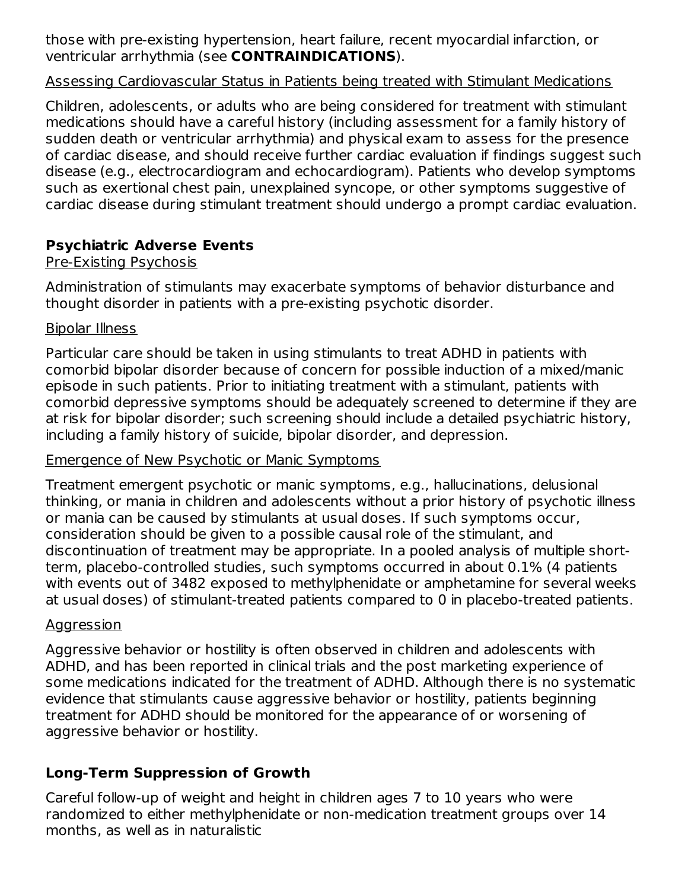those with pre-existing hypertension, heart failure, recent myocardial infarction, or ventricular arrhythmia (see **CONTRAINDICATIONS**).

#### Assessing Cardiovascular Status in Patients being treated with Stimulant Medications

Children, adolescents, or adults who are being considered for treatment with stimulant medications should have a careful history (including assessment for a family history of sudden death or ventricular arrhythmia) and physical exam to assess for the presence of cardiac disease, and should receive further cardiac evaluation if findings suggest such disease (e.g., electrocardiogram and echocardiogram). Patients who develop symptoms such as exertional chest pain, unexplained syncope, or other symptoms suggestive of cardiac disease during stimulant treatment should undergo a prompt cardiac evaluation.

## **Psychiatric Adverse Events**

#### Pre-Existing Psychosis

Administration of stimulants may exacerbate symptoms of behavior disturbance and thought disorder in patients with a pre-existing psychotic disorder.

#### Bipolar Illness

Particular care should be taken in using stimulants to treat ADHD in patients with comorbid bipolar disorder because of concern for possible induction of a mixed/manic episode in such patients. Prior to initiating treatment with a stimulant, patients with comorbid depressive symptoms should be adequately screened to determine if they are at risk for bipolar disorder; such screening should include a detailed psychiatric history, including a family history of suicide, bipolar disorder, and depression.

#### Emergence of New Psychotic or Manic Symptoms

Treatment emergent psychotic or manic symptoms, e.g., hallucinations, delusional thinking, or mania in children and adolescents without a prior history of psychotic illness or mania can be caused by stimulants at usual doses. If such symptoms occur, consideration should be given to a possible causal role of the stimulant, and discontinuation of treatment may be appropriate. In a pooled analysis of multiple shortterm, placebo-controlled studies, such symptoms occurred in about 0.1% (4 patients with events out of 3482 exposed to methylphenidate or amphetamine for several weeks at usual doses) of stimulant-treated patients compared to 0 in placebo-treated patients.

#### **Aggression**

Aggressive behavior or hostility is often observed in children and adolescents with ADHD, and has been reported in clinical trials and the post marketing experience of some medications indicated for the treatment of ADHD. Although there is no systematic evidence that stimulants cause aggressive behavior or hostility, patients beginning treatment for ADHD should be monitored for the appearance of or worsening of aggressive behavior or hostility.

# **Long-Term Suppression of Growth**

Careful follow-up of weight and height in children ages 7 to 10 years who were randomized to either methylphenidate or non-medication treatment groups over 14 months, as well as in naturalistic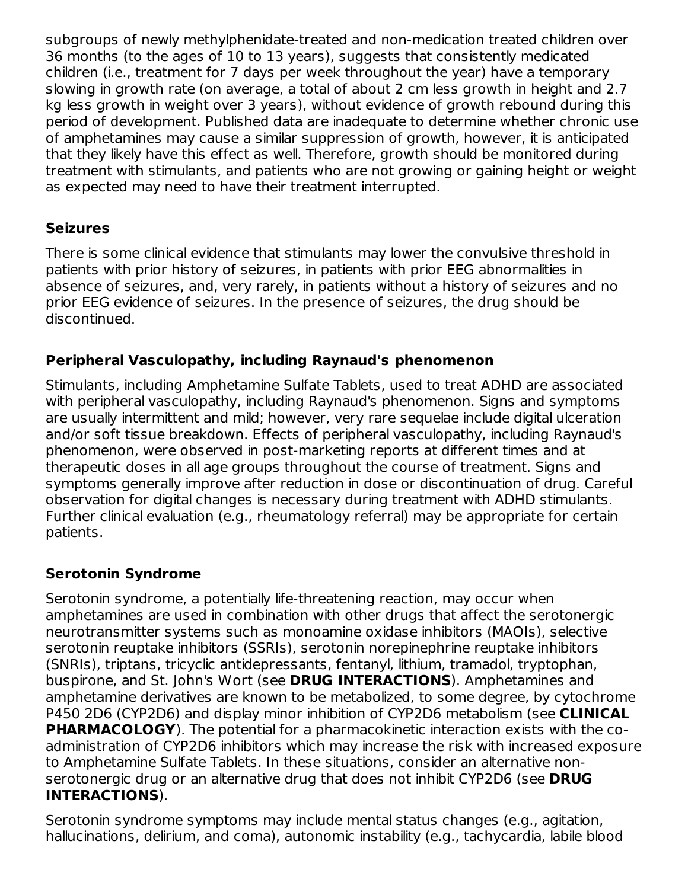subgroups of newly methylphenidate-treated and non-medication treated children over 36 months (to the ages of 10 to 13 years), suggests that consistently medicated children (i.e., treatment for 7 days per week throughout the year) have a temporary slowing in growth rate (on average, a total of about 2 cm less growth in height and 2.7 kg less growth in weight over 3 years), without evidence of growth rebound during this period of development. Published data are inadequate to determine whether chronic use of amphetamines may cause a similar suppression of growth, however, it is anticipated that they likely have this effect as well. Therefore, growth should be monitored during treatment with stimulants, and patients who are not growing or gaining height or weight as expected may need to have their treatment interrupted.

# **Seizures**

There is some clinical evidence that stimulants may lower the convulsive threshold in patients with prior history of seizures, in patients with prior EEG abnormalities in absence of seizures, and, very rarely, in patients without a history of seizures and no prior EEG evidence of seizures. In the presence of seizures, the drug should be discontinued.

# **Peripheral Vasculopathy, including Raynaud's phenomenon**

Stimulants, including Amphetamine Sulfate Tablets, used to treat ADHD are associated with peripheral vasculopathy, including Raynaud's phenomenon. Signs and symptoms are usually intermittent and mild; however, very rare sequelae include digital ulceration and/or soft tissue breakdown. Effects of peripheral vasculopathy, including Raynaud's phenomenon, were observed in post-marketing reports at different times and at therapeutic doses in all age groups throughout the course of treatment. Signs and symptoms generally improve after reduction in dose or discontinuation of drug. Careful observation for digital changes is necessary during treatment with ADHD stimulants. Further clinical evaluation (e.g., rheumatology referral) may be appropriate for certain patients.

# **Serotonin Syndrome**

Serotonin syndrome, a potentially life-threatening reaction, may occur when amphetamines are used in combination with other drugs that affect the serotonergic neurotransmitter systems such as monoamine oxidase inhibitors (MAOIs), selective serotonin reuptake inhibitors (SSRIs), serotonin norepinephrine reuptake inhibitors (SNRIs), triptans, tricyclic antidepressants, fentanyl, lithium, tramadol, tryptophan, buspirone, and St. John's Wort (see **DRUG INTERACTIONS**). Amphetamines and amphetamine derivatives are known to be metabolized, to some degree, by cytochrome P450 2D6 (CYP2D6) and display minor inhibition of CYP2D6 metabolism (see **CLINICAL PHARMACOLOGY**). The potential for a pharmacokinetic interaction exists with the coadministration of CYP2D6 inhibitors which may increase the risk with increased exposure to Amphetamine Sulfate Tablets. In these situations, consider an alternative nonserotonergic drug or an alternative drug that does not inhibit CYP2D6 (see **DRUG INTERACTIONS**).

Serotonin syndrome symptoms may include mental status changes (e.g., agitation, hallucinations, delirium, and coma), autonomic instability (e.g., tachycardia, labile blood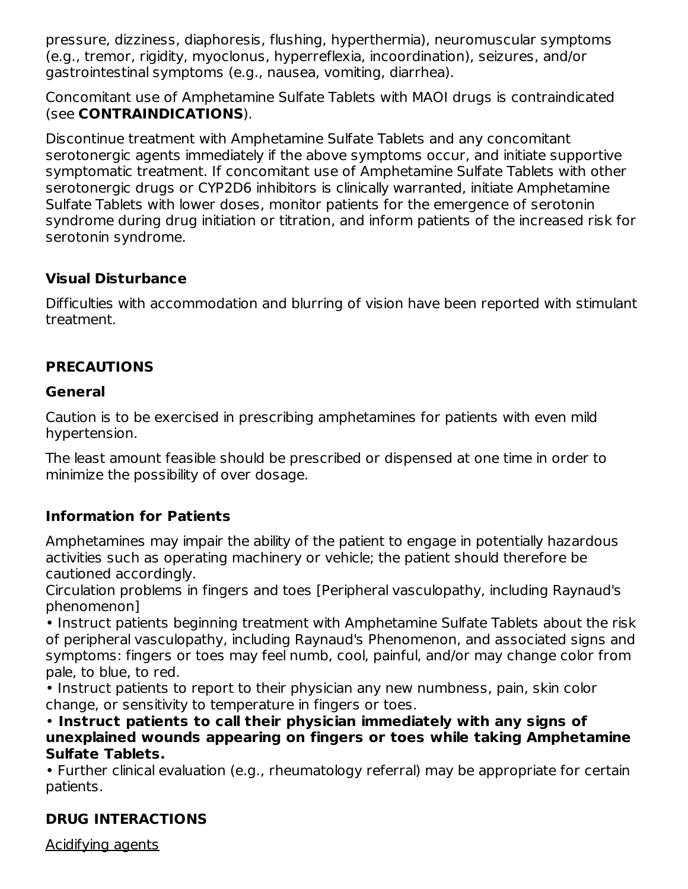pressure, dizziness, diaphoresis, flushing, hyperthermia), neuromuscular symptoms (e.g., tremor, rigidity, myoclonus, hyperreflexia, incoordination), seizures, and/or gastrointestinal symptoms (e.g., nausea, vomiting, diarrhea).

Concomitant use of Amphetamine Sulfate Tablets with MAOI drugs is contraindicated (see **CONTRAINDICATIONS**).

Discontinue treatment with Amphetamine Sulfate Tablets and any concomitant serotonergic agents immediately if the above symptoms occur, and initiate supportive symptomatic treatment. If concomitant use of Amphetamine Sulfate Tablets with other serotonergic drugs or CYP2D6 inhibitors is clinically warranted, initiate Amphetamine Sulfate Tablets with lower doses, monitor patients for the emergence of serotonin syndrome during drug initiation or titration, and inform patients of the increased risk for serotonin syndrome.

## **Visual Disturbance**

Difficulties with accommodation and blurring of vision have been reported with stimulant treatment.

## **PRECAUTIONS**

#### **General**

Caution is to be exercised in prescribing amphetamines for patients with even mild hypertension.

The least amount feasible should be prescribed or dispensed at one time in order to minimize the possibility of over dosage.

#### **Information for Patients**

Amphetamines may impair the ability of the patient to engage in potentially hazardous activities such as operating machinery or vehicle; the patient should therefore be cautioned accordingly.

Circulation problems in fingers and toes [Peripheral vasculopathy, including Raynaud's phenomenon]

• Instruct patients beginning treatment with Amphetamine Sulfate Tablets about the risk of peripheral vasculopathy, including Raynaud's Phenomenon, and associated signs and symptoms: fingers or toes may feel numb, cool, painful, and/or may change color from pale, to blue, to red.

• Instruct patients to report to their physician any new numbness, pain, skin color change, or sensitivity to temperature in fingers or toes.

• **Instruct patients to call their physician immediately with any signs of unexplained wounds appearing on fingers or toes while taking Amphetamine Sulfate Tablets.**

• Further clinical evaluation (e.g., rheumatology referral) may be appropriate for certain patients.

# **DRUG INTERACTIONS**

Acidifying agents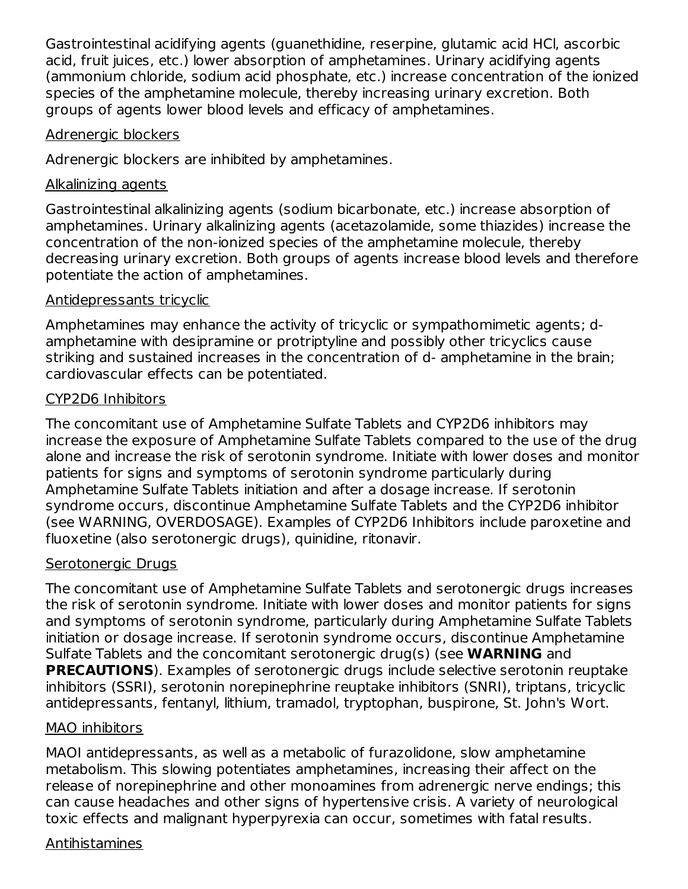Gastrointestinal acidifying agents (guanethidine, reserpine, glutamic acid HCl, ascorbic acid, fruit juices, etc.) lower absorption of amphetamines. Urinary acidifying agents (ammonium chloride, sodium acid phosphate, etc.) increase concentration of the ionized species of the amphetamine molecule, thereby increasing urinary excretion. Both groups of agents lower blood levels and efficacy of amphetamines.

### Adrenergic blockers

Adrenergic blockers are inhibited by amphetamines.

## Alkalinizing agents

Gastrointestinal alkalinizing agents (sodium bicarbonate, etc.) increase absorption of amphetamines. Urinary alkalinizing agents (acetazolamide, some thiazides) increase the concentration of the non-ionized species of the amphetamine molecule, thereby decreasing urinary excretion. Both groups of agents increase blood levels and therefore potentiate the action of amphetamines.

## Antidepressants tricyclic

Amphetamines may enhance the activity of tricyclic or sympathomimetic agents; damphetamine with desipramine or protriptyline and possibly other tricyclics cause striking and sustained increases in the concentration of d- amphetamine in the brain; cardiovascular effects can be potentiated.

## CYP2D6 Inhibitors

The concomitant use of Amphetamine Sulfate Tablets and CYP2D6 inhibitors may increase the exposure of Amphetamine Sulfate Tablets compared to the use of the drug alone and increase the risk of serotonin syndrome. Initiate with lower doses and monitor patients for signs and symptoms of serotonin syndrome particularly during Amphetamine Sulfate Tablets initiation and after a dosage increase. If serotonin syndrome occurs, discontinue Amphetamine Sulfate Tablets and the CYP2D6 inhibitor (see WARNING, OVERDOSAGE). Examples of CYP2D6 Inhibitors include paroxetine and fluoxetine (also serotonergic drugs), quinidine, ritonavir.

#### Serotonergic Drugs

The concomitant use of Amphetamine Sulfate Tablets and serotonergic drugs increases the risk of serotonin syndrome. Initiate with lower doses and monitor patients for signs and symptoms of serotonin syndrome, particularly during Amphetamine Sulfate Tablets initiation or dosage increase. If serotonin syndrome occurs, discontinue Amphetamine Sulfate Tablets and the concomitant serotonergic drug(s) (see **WARNING** and **PRECAUTIONS**). Examples of serotonergic drugs include selective serotonin reuptake inhibitors (SSRI), serotonin norepinephrine reuptake inhibitors (SNRI), triptans, tricyclic antidepressants, fentanyl, lithium, tramadol, tryptophan, buspirone, St. John's Wort.

#### MAO inhibitors

MAOI antidepressants, as well as a metabolic of furazolidone, slow amphetamine metabolism. This slowing potentiates amphetamines, increasing their affect on the release of norepinephrine and other monoamines from adrenergic nerve endings; this can cause headaches and other signs of hypertensive crisis. A variety of neurological toxic effects and malignant hyperpyrexia can occur, sometimes with fatal results.

# Antihistamines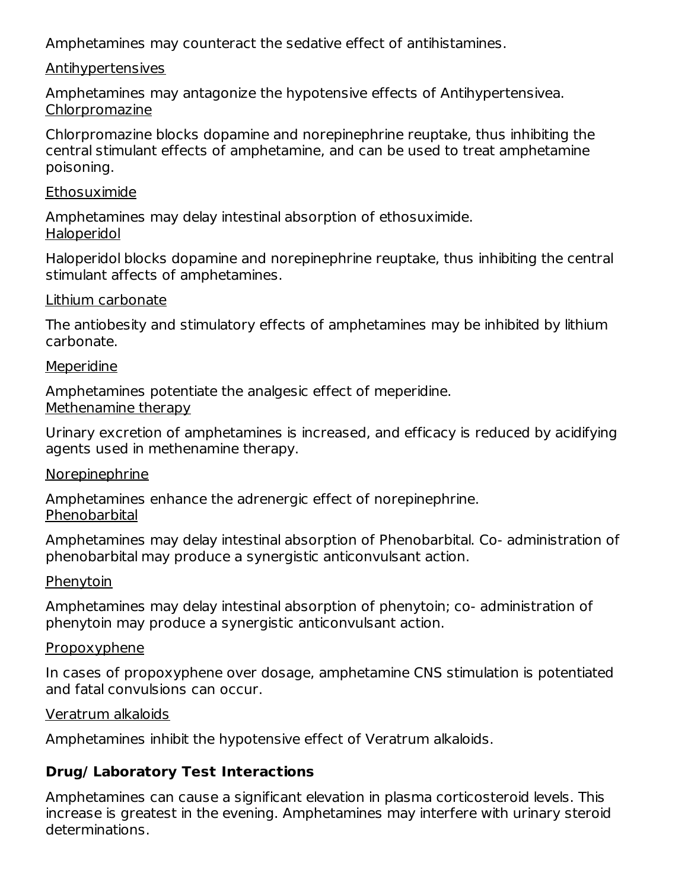Amphetamines may counteract the sedative effect of antihistamines.

#### Antihypertensives

Amphetamines may antagonize the hypotensive effects of Antihypertensivea. Chlorpromazine

Chlorpromazine blocks dopamine and norepinephrine reuptake, thus inhibiting the central stimulant effects of amphetamine, and can be used to treat amphetamine poisoning.

#### Ethosuximide

Amphetamines may delay intestinal absorption of ethosuximide. Haloperidol

Haloperidol blocks dopamine and norepinephrine reuptake, thus inhibiting the central stimulant affects of amphetamines.

#### Lithium carbonate

The antiobesity and stimulatory effects of amphetamines may be inhibited by lithium carbonate.

#### Meperidine

Amphetamines potentiate the analgesic effect of meperidine. Methenamine therapy

Urinary excretion of amphetamines is increased, and efficacy is reduced by acidifying agents used in methenamine therapy.

#### Norepinephrine

Amphetamines enhance the adrenergic effect of norepinephrine. Phenobarbital

Amphetamines may delay intestinal absorption of Phenobarbital. Co- administration of phenobarbital may produce a synergistic anticonvulsant action.

#### Phenytoin

Amphetamines may delay intestinal absorption of phenytoin; co- administration of phenytoin may produce a synergistic anticonvulsant action.

#### Propoxyphene

In cases of propoxyphene over dosage, amphetamine CNS stimulation is potentiated and fatal convulsions can occur.

#### Veratrum alkaloids

Amphetamines inhibit the hypotensive effect of Veratrum alkaloids.

# **Drug/ Laboratory Test Interactions**

Amphetamines can cause a significant elevation in plasma corticosteroid levels. This increase is greatest in the evening. Amphetamines may interfere with urinary steroid determinations.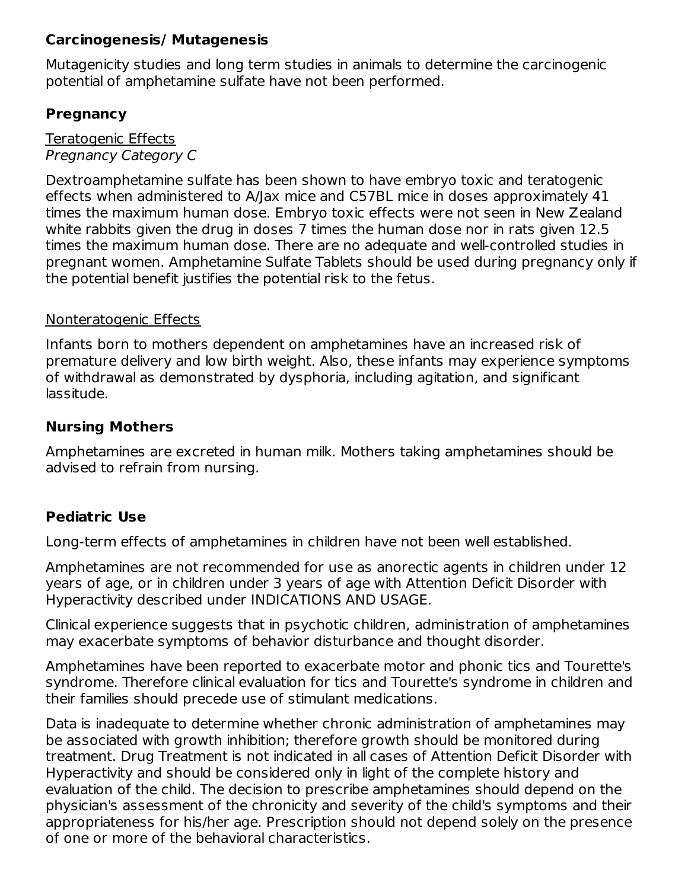### **Carcinogenesis/ Mutagenesis**

Mutagenicity studies and long term studies in animals to determine the carcinogenic potential of amphetamine sulfate have not been performed.

# **Pregnancy**

Teratogenic Effects Pregnancy Category C

Dextroamphetamine sulfate has been shown to have embryo toxic and teratogenic effects when administered to A/Jax mice and C57BL mice in doses approximately 41 times the maximum human dose. Embryo toxic effects were not seen in New Zealand white rabbits given the drug in doses 7 times the human dose nor in rats given 12.5 times the maximum human dose. There are no adequate and well-controlled studies in pregnant women. Amphetamine Sulfate Tablets should be used during pregnancy only if the potential benefit justifies the potential risk to the fetus.

#### Nonteratogenic Effects

Infants born to mothers dependent on amphetamines have an increased risk of premature delivery and low birth weight. Also, these infants may experience symptoms of withdrawal as demonstrated by dysphoria, including agitation, and significant lassitude.

## **Nursing Mothers**

Amphetamines are excreted in human milk. Mothers taking amphetamines should be advised to refrain from nursing.

# **Pediatric Use**

Long-term effects of amphetamines in children have not been well established.

Amphetamines are not recommended for use as anorectic agents in children under 12 years of age, or in children under 3 years of age with Attention Deficit Disorder with Hyperactivity described under INDICATIONS AND USAGE.

Clinical experience suggests that in psychotic children, administration of amphetamines may exacerbate symptoms of behavior disturbance and thought disorder.

Amphetamines have been reported to exacerbate motor and phonic tics and Tourette's syndrome. Therefore clinical evaluation for tics and Tourette's syndrome in children and their families should precede use of stimulant medications.

Data is inadequate to determine whether chronic administration of amphetamines may be associated with growth inhibition; therefore growth should be monitored during treatment. Drug Treatment is not indicated in all cases of Attention Deficit Disorder with Hyperactivity and should be considered only in light of the complete history and evaluation of the child. The decision to prescribe amphetamines should depend on the physician's assessment of the chronicity and severity of the child's symptoms and their appropriateness for his/her age. Prescription should not depend solely on the presence of one or more of the behavioral characteristics.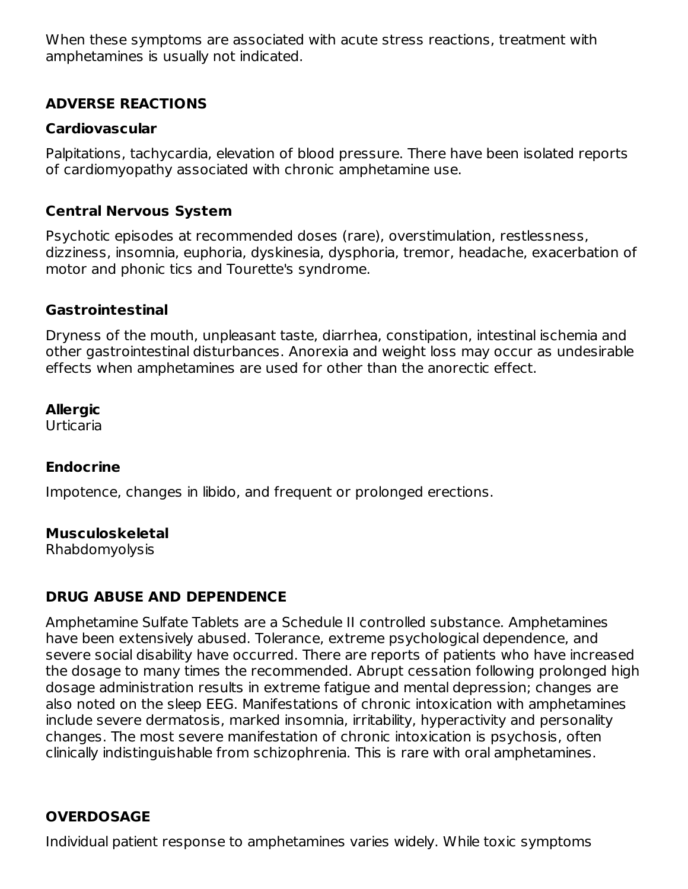When these symptoms are associated with acute stress reactions, treatment with amphetamines is usually not indicated.

# **ADVERSE REACTIONS**

## **Cardiovascular**

Palpitations, tachycardia, elevation of blood pressure. There have been isolated reports of cardiomyopathy associated with chronic amphetamine use.

# **Central Nervous System**

Psychotic episodes at recommended doses (rare), overstimulation, restlessness, dizziness, insomnia, euphoria, dyskinesia, dysphoria, tremor, headache, exacerbation of motor and phonic tics and Tourette's syndrome.

## **Gastrointestinal**

Dryness of the mouth, unpleasant taste, diarrhea, constipation, intestinal ischemia and other gastrointestinal disturbances. Anorexia and weight loss may occur as undesirable effects when amphetamines are used for other than the anorectic effect.

#### **Allergic**

Urticaria

# **Endocrine**

Impotence, changes in libido, and frequent or prolonged erections.

# **Musculoskeletal**

Rhabdomyolysis

# **DRUG ABUSE AND DEPENDENCE**

Amphetamine Sulfate Tablets are a Schedule II controlled substance. Amphetamines have been extensively abused. Tolerance, extreme psychological dependence, and severe social disability have occurred. There are reports of patients who have increased the dosage to many times the recommended. Abrupt cessation following prolonged high dosage administration results in extreme fatigue and mental depression; changes are also noted on the sleep EEG. Manifestations of chronic intoxication with amphetamines include severe dermatosis, marked insomnia, irritability, hyperactivity and personality changes. The most severe manifestation of chronic intoxication is psychosis, often clinically indistinguishable from schizophrenia. This is rare with oral amphetamines.

# **OVERDOSAGE**

Individual patient response to amphetamines varies widely. While toxic symptoms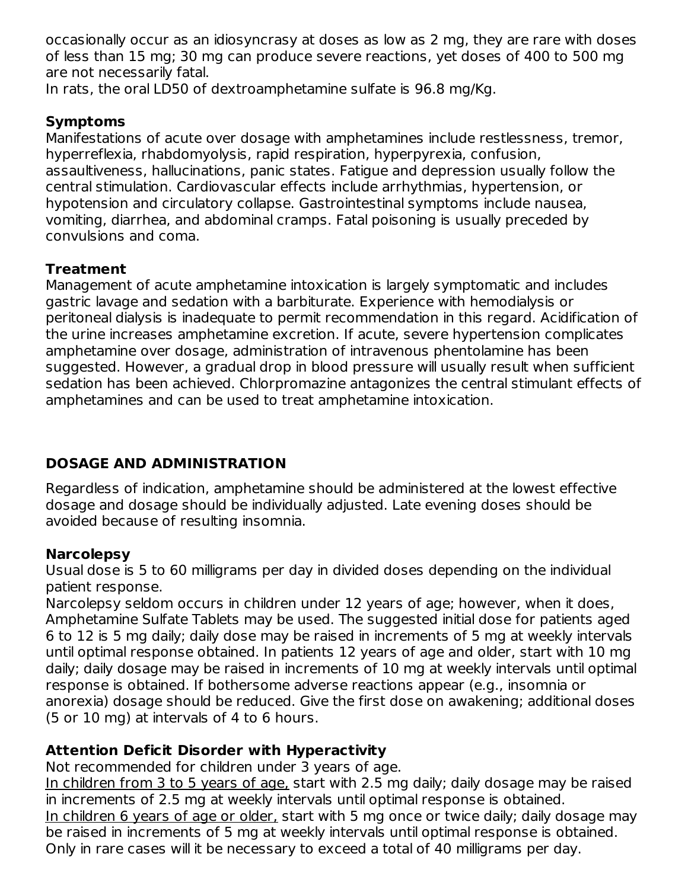occasionally occur as an idiosyncrasy at doses as low as 2 mg, they are rare with doses of less than 15 mg; 30 mg can produce severe reactions, yet doses of 400 to 500 mg are not necessarily fatal.

In rats, the oral LD50 of dextroamphetamine sulfate is 96.8 mg/Kg.

# **Symptoms**

Manifestations of acute over dosage with amphetamines include restlessness, tremor, hyperreflexia, rhabdomyolysis, rapid respiration, hyperpyrexia, confusion, assaultiveness, hallucinations, panic states. Fatigue and depression usually follow the central stimulation. Cardiovascular effects include arrhythmias, hypertension, or hypotension and circulatory collapse. Gastrointestinal symptoms include nausea, vomiting, diarrhea, and abdominal cramps. Fatal poisoning is usually preceded by convulsions and coma.

## **Treatment**

Management of acute amphetamine intoxication is largely symptomatic and includes gastric lavage and sedation with a barbiturate. Experience with hemodialysis or peritoneal dialysis is inadequate to permit recommendation in this regard. Acidification of the urine increases amphetamine excretion. If acute, severe hypertension complicates amphetamine over dosage, administration of intravenous phentolamine has been suggested. However, a gradual drop in blood pressure will usually result when sufficient sedation has been achieved. Chlorpromazine antagonizes the central stimulant effects of amphetamines and can be used to treat amphetamine intoxication.

# **DOSAGE AND ADMINISTRATION**

Regardless of indication, amphetamine should be administered at the lowest effective dosage and dosage should be individually adjusted. Late evening doses should be avoided because of resulting insomnia.

#### **Narcolepsy**

Usual dose is 5 to 60 milligrams per day in divided doses depending on the individual patient response.

Narcolepsy seldom occurs in children under 12 years of age; however, when it does, Amphetamine Sulfate Tablets may be used. The suggested initial dose for patients aged 6 to 12 is 5 mg daily; daily dose may be raised in increments of 5 mg at weekly intervals until optimal response obtained. In patients 12 years of age and older, start with 10 mg daily; daily dosage may be raised in increments of 10 mg at weekly intervals until optimal response is obtained. If bothersome adverse reactions appear (e.g., insomnia or anorexia) dosage should be reduced. Give the first dose on awakening; additional doses (5 or 10 mg) at intervals of 4 to 6 hours.

#### **Attention Deficit Disorder with Hyperactivity**

Not recommended for children under 3 years of age.

In children from 3 to 5 years of age, start with 2.5 mg daily; daily dosage may be raised in increments of 2.5 mg at weekly intervals until optimal response is obtained. In children 6 years of age or older, start with 5 mg once or twice daily; daily dosage may be raised in increments of 5 mg at weekly intervals until optimal response is obtained. Only in rare cases will it be necessary to exceed a total of 40 milligrams per day.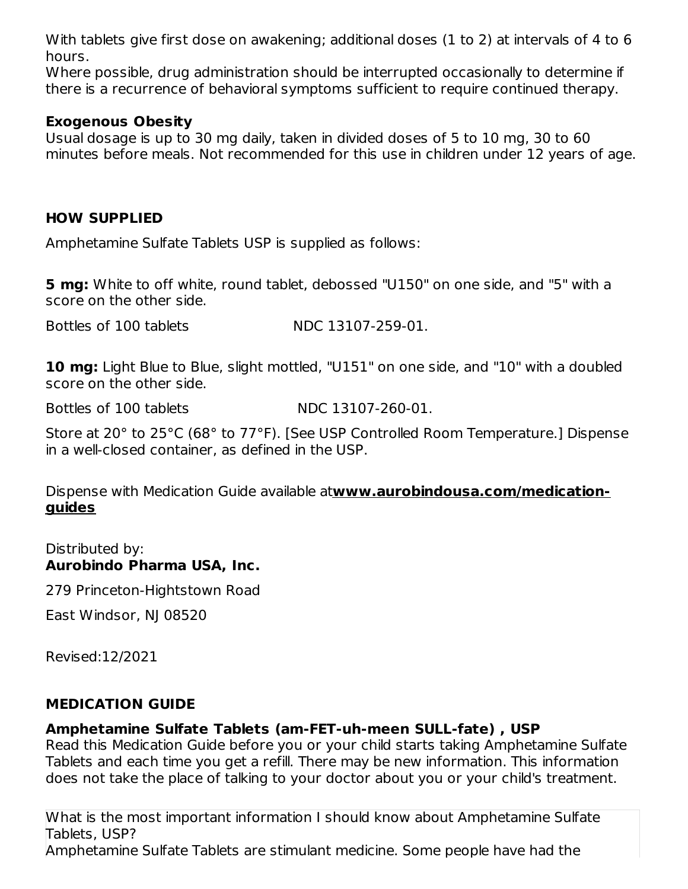With tablets give first dose on awakening; additional doses (1 to 2) at intervals of 4 to 6 hours.

Where possible, drug administration should be interrupted occasionally to determine if there is a recurrence of behavioral symptoms sufficient to require continued therapy.

#### **Exogenous Obesity**

Usual dosage is up to 30 mg daily, taken in divided doses of 5 to 10 mg, 30 to 60 minutes before meals. Not recommended for this use in children under 12 years of age.

#### **HOW SUPPLIED**

Amphetamine Sulfate Tablets USP is supplied as follows:

**5 mg:** White to off white, round tablet, debossed "U150" on one side, and "5" with a score on the other side.

Bottles of 100 tablets NDC 13107-259-01.

**10 mg:** Light Blue to Blue, slight mottled, "U151" on one side, and "10" with a doubled score on the other side.

Bottles of 100 tablets NDC 13107-260-01.

Store at 20° to 25°C (68° to 77°F). [See USP Controlled Room Temperature.] Dispense in a well-closed container, as defined in the USP.

Dispense with Medication Guide available at**www.aurobindousa.com/medicationguides**

#### Distributed by: **Aurobindo Pharma USA, Inc.**

279 Princeton-Hightstown Road

East Windsor, NJ 08520

Revised:12/2021

#### **MEDICATION GUIDE**

#### **Amphetamine Sulfate Tablets (am-FET-uh-meen SULL-fate) , USP**

Read this Medication Guide before you or your child starts taking Amphetamine Sulfate Tablets and each time you get a refill. There may be new information. This information does not take the place of talking to your doctor about you or your child's treatment.

What is the most important information I should know about Amphetamine Sulfate Tablets, USP? Amphetamine Sulfate Tablets are stimulant medicine. Some people have had the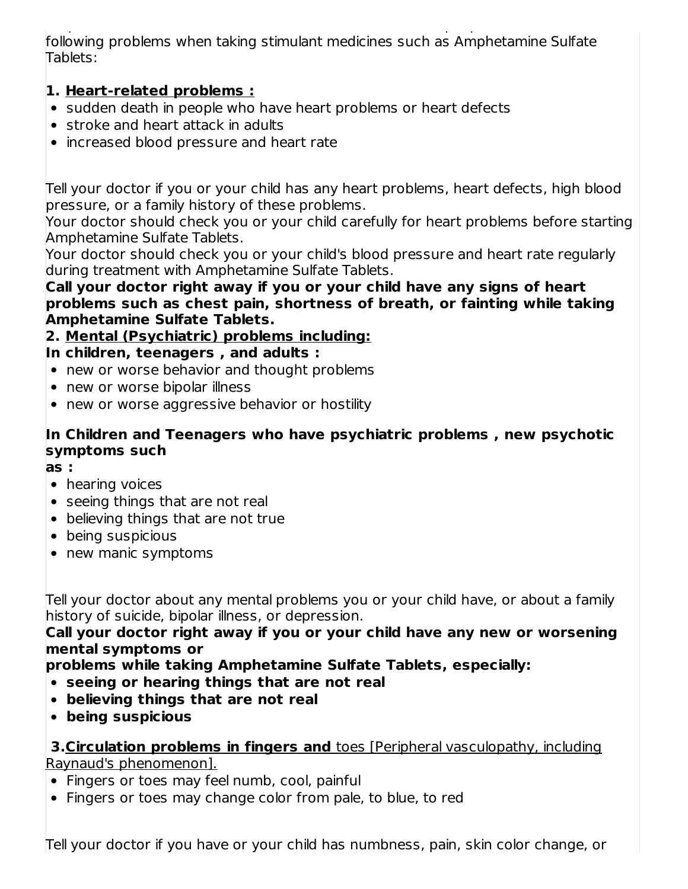Amphetamine Sulfate Tablets are stimulant medicine. Some people have had the following problems when taking stimulant medicines such as Amphetamine Sulfate Tablets:

# **1. Heart-related problems :**

- sudden death in people who have heart problems or heart defects
- stroke and heart attack in adults
- increased blood pressure and heart rate

Tell your doctor if you or your child has any heart problems, heart defects, high blood pressure, or a family history of these problems.

Your doctor should check you or your child carefully for heart problems before starting Amphetamine Sulfate Tablets.

Your doctor should check you or your child's blood pressure and heart rate regularly during treatment with Amphetamine Sulfate Tablets.

#### **Call your doctor right away if you or your child have any signs of heart problems such as chest pain, shortness of breath, or fainting while taking Amphetamine Sulfate Tablets.**

# **2. Mental (Psychiatric) problems including:**

# **In children, teenagers , and adults :**

- new or worse behavior and thought problems
- new or worse bipolar illness
- new or worse aggressive behavior or hostility

# **In Children and Teenagers who have psychiatric problems , new psychotic symptoms such**

**as :**

- hearing voices
- seeing things that are not real
- believing things that are not true
- being suspicious
- new manic symptoms

Tell your doctor about any mental problems you or your child have, or about a family history of suicide, bipolar illness, or depression.

**Call your doctor right away if you or your child have any new or worsening mental symptoms or**

**problems while taking Amphetamine Sulfate Tablets, especially:**

- **seeing or hearing things that are not real**
- **believing things that are not real**
- **being suspicious**

**3.Circulation problems in fingers and** toes [Peripheral vasculopathy, including Raynaud's phenomenon].

- Fingers or toes may feel numb, cool, painful
- Fingers or toes may change color from pale, to blue, to red

Tell your doctor if you have or your child has numbness, pain, skin color change, or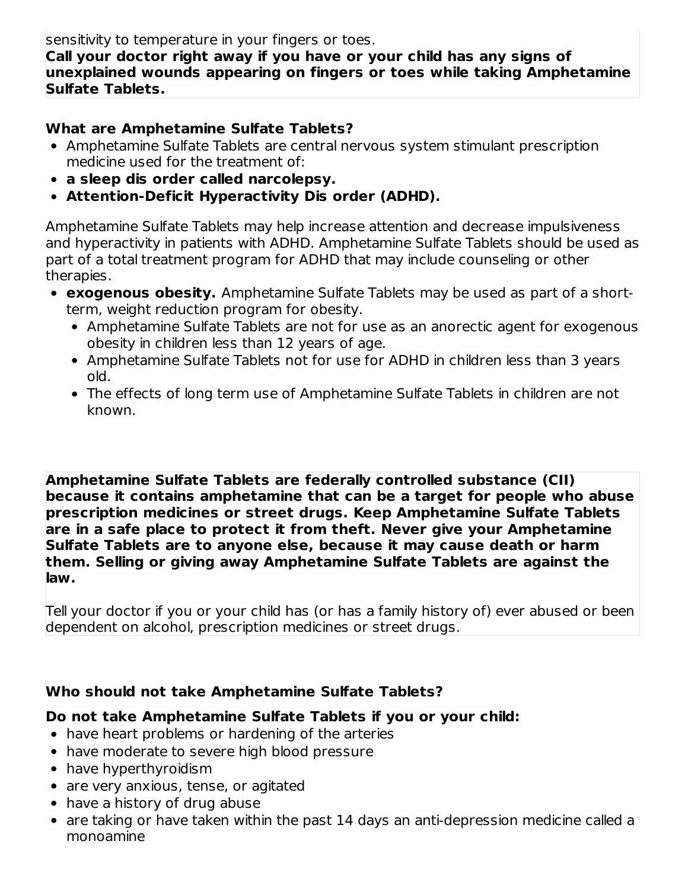sensitivity to temperature in your fingers or toes.

**Call your doctor right away if you have or your child has any signs of unexplained wounds appearing on fingers or toes while taking Amphetamine Sulfate Tablets.**

### **What are Amphetamine Sulfate Tablets?**

- Amphetamine Sulfate Tablets are central nervous system stimulant prescription medicine used for the treatment of:
- **a sleep dis order called narcolepsy.**
- **Attention-Deficit Hyperactivity Dis order (ADHD).**

Amphetamine Sulfate Tablets may help increase attention and decrease impulsiveness and hyperactivity in patients with ADHD. Amphetamine Sulfate Tablets should be used as part of a total treatment program for ADHD that may include counseling or other therapies.

- **exogenous obesity.** Amphetamine Sulfate Tablets may be used as part of a shortterm, weight reduction program for obesity.
	- Amphetamine Sulfate Tablets are not for use as an anorectic agent for exogenous obesity in children less than 12 years of age.
	- Amphetamine Sulfate Tablets not for use for ADHD in children less than 3 years old.
	- The effects of long term use of Amphetamine Sulfate Tablets in children are not known.

**Amphetamine Sulfate Tablets are federally controlled substance (CII) because it contains amphetamine that can be a target for people who abuse prescription medicines or street drugs. Keep Amphetamine Sulfate Tablets are in a safe place to protect it from theft. Never give your Amphetamine Sulfate Tablets are to anyone else, because it may cause death or harm them. Selling or giving away Amphetamine Sulfate Tablets are against the law.**

Tell your doctor if you or your child has (or has a family history of) ever abused or been dependent on alcohol, prescription medicines or street drugs.

# **Who should not take Amphetamine Sulfate Tablets?**

# **Do not take Amphetamine Sulfate Tablets if you or your child:**

- have heart problems or hardening of the arteries
- have moderate to severe high blood pressure
- have hyperthyroidism
- are very anxious, tense, or agitated
- have a history of drug abuse
- are taking or have taken within the past 14 days an anti-depression medicine called a monoamine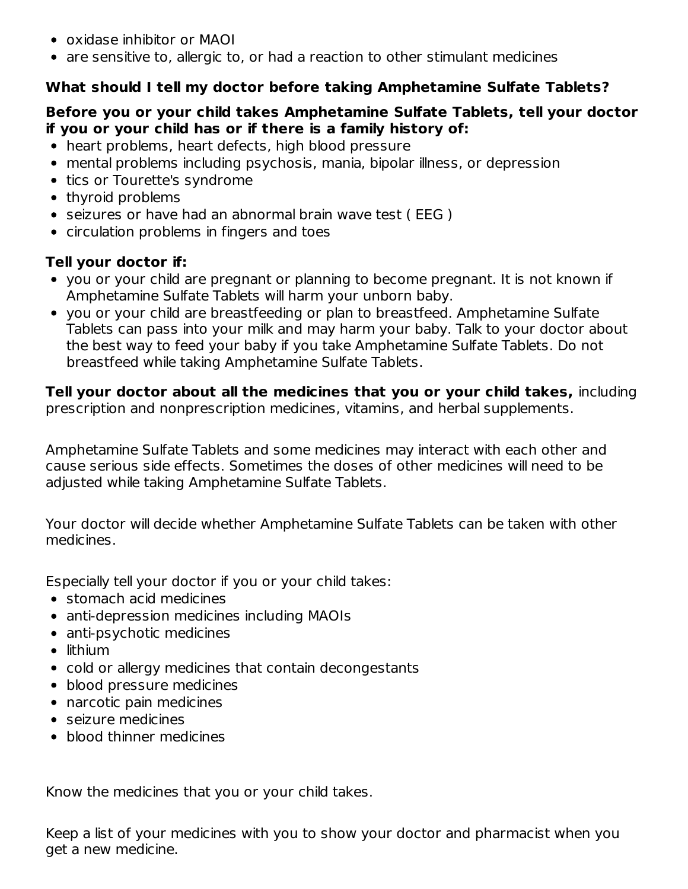- oxidase inhibitor or MAOI
- are sensitive to, allergic to, or had a reaction to other stimulant medicines

# **What should I tell my doctor before taking Amphetamine Sulfate Tablets?**

### **Before you or your child takes Amphetamine Sulfate Tablets, tell your doctor if you or your child has or if there is a family history of:**

- heart problems, heart defects, high blood pressure
- mental problems including psychosis, mania, bipolar illness, or depression
- tics or Tourette's syndrome
- thyroid problems
- seizures or have had an abnormal brain wave test ( EEG )
- circulation problems in fingers and toes

# **Tell your doctor if:**

- you or your child are pregnant or planning to become pregnant. It is not known if Amphetamine Sulfate Tablets will harm your unborn baby.
- you or your child are breastfeeding or plan to breastfeed. Amphetamine Sulfate Tablets can pass into your milk and may harm your baby. Talk to your doctor about the best way to feed your baby if you take Amphetamine Sulfate Tablets. Do not breastfeed while taking Amphetamine Sulfate Tablets.

**Tell your doctor about all the medicines that you or your child takes,** including prescription and nonprescription medicines, vitamins, and herbal supplements.

Amphetamine Sulfate Tablets and some medicines may interact with each other and cause serious side effects. Sometimes the doses of other medicines will need to be adjusted while taking Amphetamine Sulfate Tablets.

Your doctor will decide whether Amphetamine Sulfate Tablets can be taken with other medicines.

Especially tell your doctor if you or your child takes:

- stomach acid medicines
- anti-depression medicines including MAOIs
- anti-psychotic medicines
- $\bullet$  lithium
- cold or allergy medicines that contain decongestants
- blood pressure medicines
- narcotic pain medicines
- seizure medicines
- blood thinner medicines

Know the medicines that you or your child takes.

Keep a list of your medicines with you to show your doctor and pharmacist when you get a new medicine.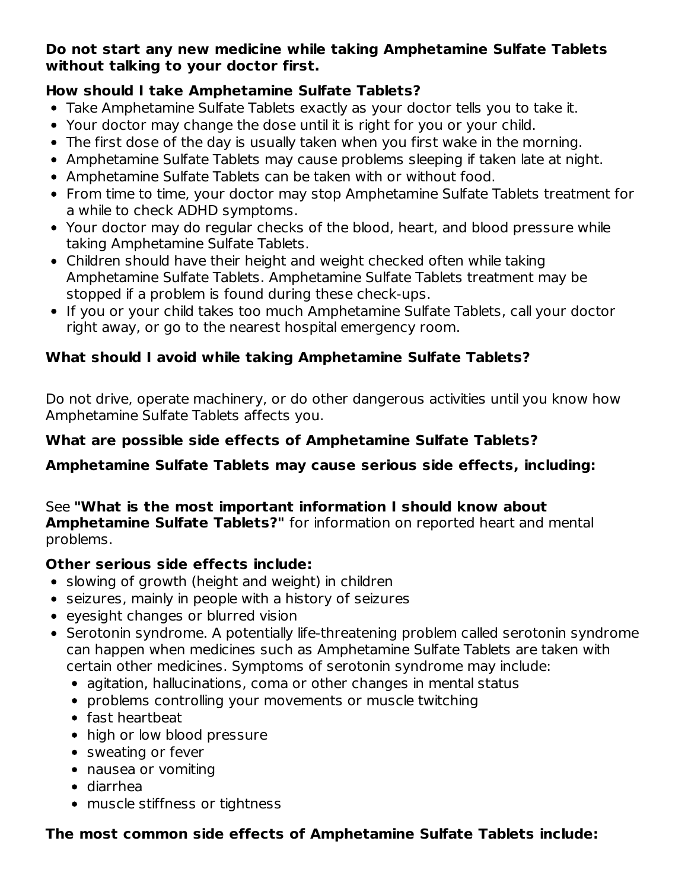## **Do not start any new medicine while taking Amphetamine Sulfate Tablets without talking to your doctor first.**

# **How should I take Amphetamine Sulfate Tablets?**

- Take Amphetamine Sulfate Tablets exactly as your doctor tells you to take it.
- Your doctor may change the dose until it is right for you or your child.
- The first dose of the day is usually taken when you first wake in the morning.
- Amphetamine Sulfate Tablets may cause problems sleeping if taken late at night.
- Amphetamine Sulfate Tablets can be taken with or without food.
- From time to time, your doctor may stop Amphetamine Sulfate Tablets treatment for a while to check ADHD symptoms.
- Your doctor may do regular checks of the blood, heart, and blood pressure while taking Amphetamine Sulfate Tablets.
- Children should have their height and weight checked often while taking Amphetamine Sulfate Tablets. Amphetamine Sulfate Tablets treatment may be stopped if a problem is found during these check-ups.
- If you or your child takes too much Amphetamine Sulfate Tablets, call your doctor right away, or go to the nearest hospital emergency room.

# **What should I avoid while taking Amphetamine Sulfate Tablets?**

Do not drive, operate machinery, or do other dangerous activities until you know how Amphetamine Sulfate Tablets affects you.

## **What are possible side effects of Amphetamine Sulfate Tablets?**

# **Amphetamine Sulfate Tablets may cause serious side effects, including:**

See **"What is the most important information I should know about Amphetamine Sulfate Tablets?"** for information on reported heart and mental problems.

# **Other serious side effects include:**

- slowing of growth (height and weight) in children
- seizures, mainly in people with a history of seizures
- eyesight changes or blurred vision
- Serotonin syndrome. A potentially life-threatening problem called serotonin syndrome can happen when medicines such as Amphetamine Sulfate Tablets are taken with certain other medicines. Symptoms of serotonin syndrome may include:
	- agitation, hallucinations, coma or other changes in mental status
	- problems controlling your movements or muscle twitching
	- fast heartbeat
	- high or low blood pressure
	- sweating or fever
	- nausea or vomiting
	- diarrhea
	- muscle stiffness or tightness

# **The most common side effects of Amphetamine Sulfate Tablets include:**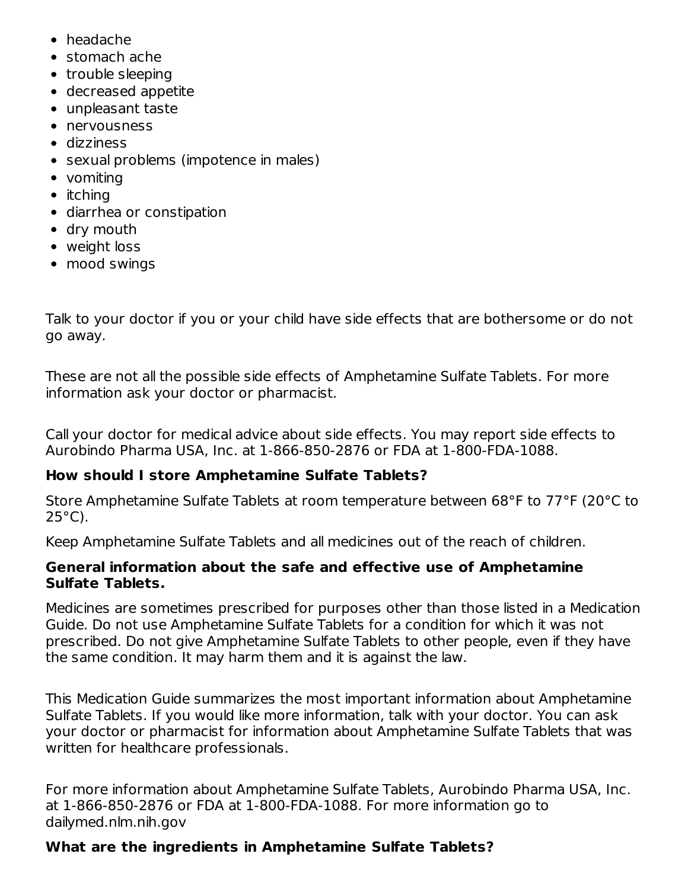- headache
- stomach ache
- trouble sleeping
- decreased appetite
- unpleasant taste
- nervousness
- dizziness
- sexual problems (impotence in males)
- vomiting
- $\bullet$  itching
- diarrhea or constipation
- dry mouth
- weight loss
- mood swings

Talk to your doctor if you or your child have side effects that are bothersome or do not go away.

These are not all the possible side effects of Amphetamine Sulfate Tablets. For more information ask your doctor or pharmacist.

Call your doctor for medical advice about side effects. You may report side effects to Aurobindo Pharma USA, Inc. at 1-866-850-2876 or FDA at 1-800-FDA-1088.

# **How should I store Amphetamine Sulfate Tablets?**

Store Amphetamine Sulfate Tablets at room temperature between 68°F to 77°F (20°C to  $25^{\circ}$ C).

Keep Amphetamine Sulfate Tablets and all medicines out of the reach of children.

## **General information about the safe and effective use of Amphetamine Sulfate Tablets.**

Medicines are sometimes prescribed for purposes other than those listed in a Medication Guide. Do not use Amphetamine Sulfate Tablets for a condition for which it was not prescribed. Do not give Amphetamine Sulfate Tablets to other people, even if they have the same condition. It may harm them and it is against the law.

This Medication Guide summarizes the most important information about Amphetamine Sulfate Tablets. If you would like more information, talk with your doctor. You can ask your doctor or pharmacist for information about Amphetamine Sulfate Tablets that was written for healthcare professionals.

For more information about Amphetamine Sulfate Tablets, Aurobindo Pharma USA, Inc. at 1-866-850-2876 or FDA at 1-800-FDA-1088. For more information go to dailymed.nlm.nih.gov

# **What are the ingredients in Amphetamine Sulfate Tablets?**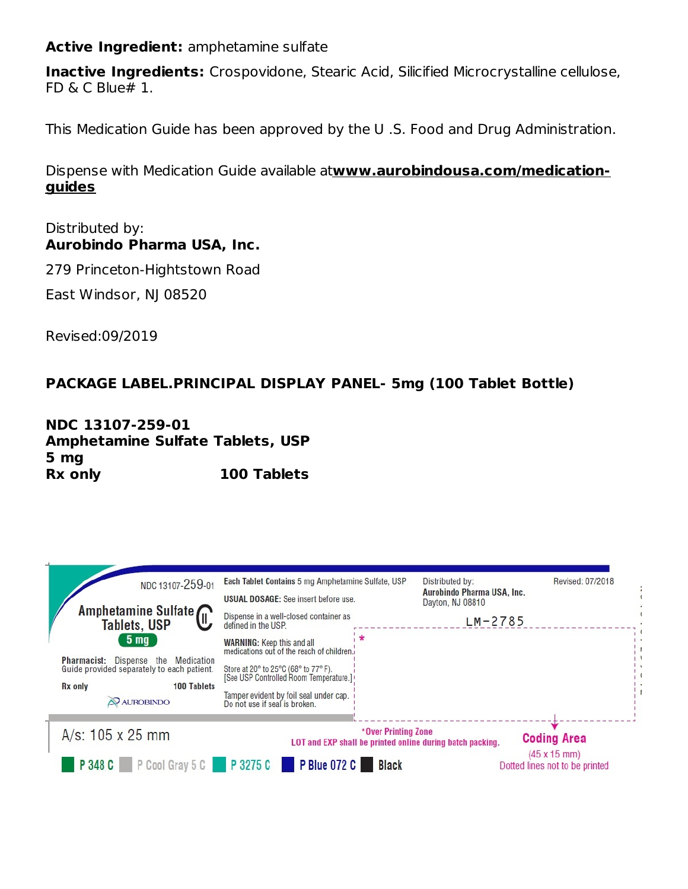#### **Active Ingredient:** amphetamine sulfate

**Inactive Ingredients:** Crospovidone, Stearic Acid, Silicified Microcrystalline cellulose, FD & C Blue# 1.

This Medication Guide has been approved by the U .S. Food and Drug Administration.

Dispense with Medication Guide available at**www.aurobindousa.com/medicationguides**

#### Distributed by: **Aurobindo Pharma USA, Inc.**

279 Princeton-Hightstown Road

East Windsor, NJ 08520

Revised:09/2019

## **PACKAGE LABEL.PRINCIPAL DISPLAY PANEL- 5mg (100 Tablet Bottle)**

**NDC 13107-259-01 Amphetamine Sulfate Tablets, USP 5 mg Rx only 100 Tablets**

| NDC 13107-259-01                                                                         | Each Tablet Contains 5 mg Amphetamine Sulfate, USP<br><b>USUAL DOSAGE:</b> See insert before use. | Revised: 07/2018<br>Distributed by:<br>Aurobindo Pharma USA, Inc.<br>Dayton, NJ 08810 |  |
|------------------------------------------------------------------------------------------|---------------------------------------------------------------------------------------------------|---------------------------------------------------------------------------------------|--|
| Amphetamine Sulfate (<br><b>Tablets, USP</b>                                             | Dispense in a well-closed container as<br>defined in the USP.                                     | $LM-2785$                                                                             |  |
| 5 <sub>mg</sub>                                                                          | <b>WARNING:</b> Keep this and all<br>medications out of the reach of children.                    |                                                                                       |  |
| <b>Pharmacist:</b> Dispense the Medication<br>Guide provided separately to each patient. | Store at 20° to 25°C (68° to 77° F).<br>[See USP Controlled Room Temperature.]                    |                                                                                       |  |
| <b>100 Tablets</b><br><b>Rx</b> only<br><b>AUROBINDO</b>                                 | Tamper evident by foil seal under cap.<br>Do not use if seal is broken.                           |                                                                                       |  |
| $A/s: 105 \times 25$ mm                                                                  | *Over Printing Zone<br>LOT and EXP shall be printed online during batch packing.                  | <b>Coding Area</b>                                                                    |  |
| <b>P348 C</b>                                                                            | P Cool Gray 5 C P 3275 C P Blue 072 C<br><b>Black</b>                                             | $(45 \times 15 \text{ mm})$<br>Dotted lines not to be printed                         |  |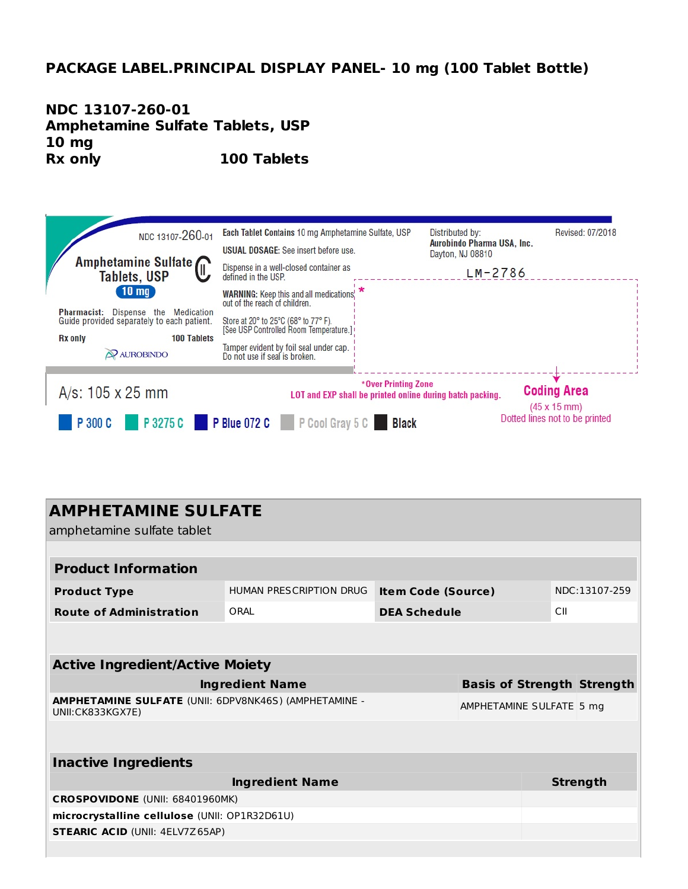### **PACKAGE LABEL.PRINCIPAL DISPLAY PANEL- 10 mg (100 Tablet Bottle)**

**NDC 13107-260-01 Amphetamine Sulfate Tablets, USP 10 mg Rx only 100 Tablets**



| <b>AMPHETAMINE SULFATE</b><br>amphetamine sulfate tablet                   |                                                      |                          |  |                 |                                   |  |
|----------------------------------------------------------------------------|------------------------------------------------------|--------------------------|--|-----------------|-----------------------------------|--|
|                                                                            |                                                      |                          |  |                 |                                   |  |
| <b>Product Information</b>                                                 |                                                      |                          |  |                 |                                   |  |
| <b>Product Type</b>                                                        | HUMAN PRESCRIPTION DRUG<br><b>Item Code (Source)</b> |                          |  | NDC:13107-259   |                                   |  |
| <b>Route of Administration</b>                                             | ORAL                                                 | <b>DEA Schedule</b>      |  | CII             |                                   |  |
|                                                                            |                                                      |                          |  |                 |                                   |  |
|                                                                            | <b>Active Ingredient/Active Moiety</b>               |                          |  |                 |                                   |  |
| <b>Ingredient Name</b>                                                     |                                                      |                          |  |                 | <b>Basis of Strength Strength</b> |  |
| AMPHETAMINE SULFATE (UNII: 6DPV8NK46S) (AMPHETAMINE -<br>UNII: CK833KGX7E) |                                                      | AMPHETAMINE SULFATE 5 mg |  |                 |                                   |  |
|                                                                            |                                                      |                          |  |                 |                                   |  |
| <b>Inactive Ingredients</b>                                                |                                                      |                          |  |                 |                                   |  |
| <b>Ingredient Name</b>                                                     |                                                      |                          |  | <b>Strength</b> |                                   |  |
| CROSPOVIDONE (UNII: 68401960MK)                                            |                                                      |                          |  |                 |                                   |  |
| microcrystalline cellulose (UNII: OP1R32D61U)                              |                                                      |                          |  |                 |                                   |  |
| <b>STEARIC ACID (UNII: 4ELV7Z65AP)</b>                                     |                                                      |                          |  |                 |                                   |  |
|                                                                            |                                                      |                          |  |                 |                                   |  |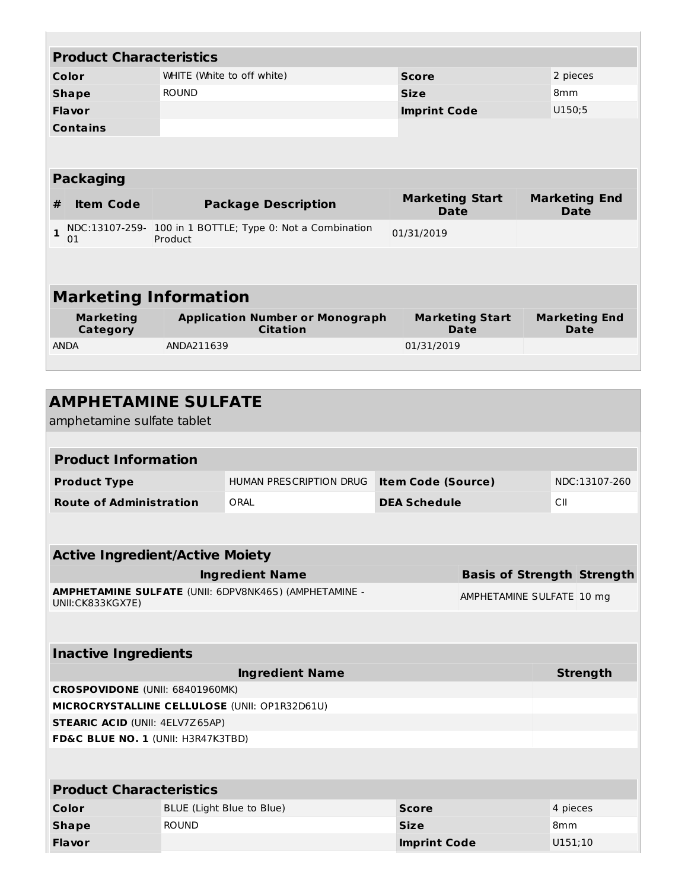|                  | <b>Product Characteristics</b>              |                                                                      |                                       |                              |  |  |  |
|------------------|---------------------------------------------|----------------------------------------------------------------------|---------------------------------------|------------------------------|--|--|--|
| Color            |                                             | WHITE (White to off white)                                           | <b>Score</b>                          | 2 pieces                     |  |  |  |
|                  | <b>ROUND</b><br><b>Size</b><br><b>Shape</b> |                                                                      |                                       | 8 <sub>mm</sub>              |  |  |  |
|                  | <b>Flavor</b><br><b>Imprint Code</b>        |                                                                      | U150;5                                |                              |  |  |  |
|                  | <b>Contains</b>                             |                                                                      |                                       |                              |  |  |  |
|                  |                                             |                                                                      |                                       |                              |  |  |  |
|                  |                                             |                                                                      |                                       |                              |  |  |  |
| <b>Packaging</b> |                                             |                                                                      |                                       |                              |  |  |  |
| #                | <b>Item Code</b>                            | <b>Package Description</b>                                           | <b>Marketing Start</b><br><b>Date</b> | <b>Marketing End</b><br>Date |  |  |  |
| 1                | 01                                          | NDC:13107-259- 100 in 1 BOTTLE; Type 0: Not a Combination<br>Product | 01/31/2019                            |                              |  |  |  |
|                  |                                             |                                                                      |                                       |                              |  |  |  |
|                  |                                             |                                                                      |                                       |                              |  |  |  |
|                  |                                             |                                                                      |                                       |                              |  |  |  |
|                  |                                             | <b>Marketing Information</b>                                         |                                       |                              |  |  |  |
|                  | <b>Marketing</b><br><b>Category</b>         | <b>Application Number or Monograph</b><br><b>Citation</b>            | <b>Marketing Start</b><br>Date        | <b>Marketing End</b><br>Date |  |  |  |
| <b>ANDA</b>      |                                             | ANDA211639                                                           | 01/31/2019                            |                              |  |  |  |

U.

| <b>AMPHETAMINE SULFATE</b><br>amphetamine sulfate tablet                  |                                                               |                        |             |                                   |                 |                 |
|---------------------------------------------------------------------------|---------------------------------------------------------------|------------------------|-------------|-----------------------------------|-----------------|-----------------|
|                                                                           |                                                               |                        |             |                                   |                 |                 |
| <b>Product Information</b>                                                |                                                               |                        |             |                                   |                 |                 |
| <b>Product Type</b>                                                       | HUMAN PRESCRIPTION DRUG<br><b>Item Code (Source)</b>          |                        |             |                                   | NDC:13107-260   |                 |
|                                                                           | <b>Route of Administration</b><br>ORAL<br><b>DEA Schedule</b> |                        |             |                                   | CII             |                 |
|                                                                           |                                                               |                        |             |                                   |                 |                 |
|                                                                           |                                                               |                        |             |                                   |                 |                 |
| <b>Active Ingredient/Active Moiety</b>                                    |                                                               |                        |             |                                   |                 |                 |
|                                                                           |                                                               | <b>Ingredient Name</b> |             | <b>Basis of Strength Strength</b> |                 |                 |
| AMPHETAMINE SULFATE (UNII: 6DPV8NK46S) (AMPHETAMINE -<br>UNII:CK833KGX7E) |                                                               |                        |             | AMPHETAMINE SULFATE 10 mg         |                 |                 |
|                                                                           |                                                               |                        |             |                                   |                 |                 |
| <b>Inactive Ingredients</b>                                               |                                                               |                        |             |                                   |                 |                 |
| <b>Ingredient Name</b>                                                    |                                                               |                        |             |                                   |                 | <b>Strength</b> |
| CROSPOVIDONE (UNII: 68401960MK)                                           |                                                               |                        |             |                                   |                 |                 |
|                                                                           | MICROCRYSTALLINE CELLULOSE (UNII: OP1R32D61U)                 |                        |             |                                   |                 |                 |
| <b>STEARIC ACID (UNII: 4ELV7Z65AP)</b>                                    |                                                               |                        |             |                                   |                 |                 |
| FD&C BLUE NO. 1 (UNII: H3R47K3TBD)                                        |                                                               |                        |             |                                   |                 |                 |
|                                                                           |                                                               |                        |             |                                   |                 |                 |
| <b>Product Characteristics</b>                                            |                                                               |                        |             |                                   |                 |                 |
| Color<br>BLUE (Light Blue to Blue)<br><b>Score</b>                        |                                                               |                        |             | 4 pieces                          |                 |                 |
| <b>ROUND</b><br><b>Shape</b>                                              |                                                               |                        | <b>Size</b> |                                   | 8 <sub>mm</sub> |                 |
| <b>Flavor</b><br>U151;10<br><b>Imprint Code</b>                           |                                                               |                        |             |                                   |                 |                 |
|                                                                           |                                                               |                        |             |                                   |                 |                 |